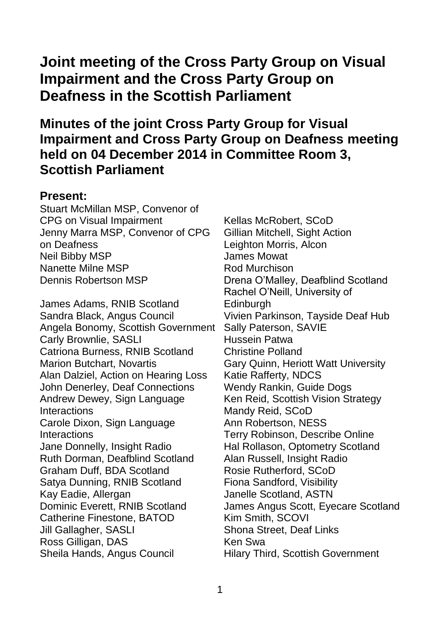# **Joint meeting of the Cross Party Group on Visual Impairment and the Cross Party Group on Deafness in the Scottish Parliament**

# **Minutes of the joint Cross Party Group for Visual Impairment and Cross Party Group on Deafness meeting held on 04 December 2014 in Committee Room 3, Scottish Parliament**

#### **Present:**

Stuart McMillan MSP, Convenor of CPG on Visual Impairment Jenny Marra MSP, Convenor of CPG on Deafness Neil Bibby MSP Nanette Milne MSP Dennis Robertson MSP

James Adams, RNIB Scotland Sandra Black, Angus Council Angela Bonomy, Scottish Government Carly Brownlie, SASLI Catriona Burness, RNIB Scotland Marion Butchart, Novartis Alan Dalziel, Action on Hearing Loss John Denerley, Deaf Connections Andrew Dewey, Sign Language **Interactions** Carole Dixon, Sign Language **Interactions** Jane Donnelly, Insight Radio Ruth Dorman, Deafblind Scotland Graham Duff, BDA Scotland Satya Dunning, RNIB Scotland Kay Eadie, Allergan Dominic Everett, RNIB Scotland Catherine Finestone, BATOD Jill Gallagher, SASLI Ross Gilligan, DAS Sheila Hands, Angus Council

Kellas McRobert, SCoD Gillian Mitchell, Sight Action Leighton Morris, Alcon James Mowat Rod Murchison Drena O'Malley, Deafblind Scotland Rachel O'Neill, University of **Edinburgh** Vivien Parkinson, Tayside Deaf Hub Sally Paterson, SAVIE Hussein Patwa Christine Polland Gary Quinn, Heriott Watt University Katie Rafferty, NDCS Wendy Rankin, Guide Dogs Ken Reid, Scottish Vision Strategy Mandy Reid, SCoD Ann Robertson, NESS Terry Robinson, Describe Online Hal Rollason, Optometry Scotland Alan Russell, Insight Radio Rosie Rutherford, SCoD Fiona Sandford, Visibility Janelle Scotland, ASTN James Angus Scott, Eyecare Scotland Kim Smith, SCOVI Shona Street, Deaf Links Ken Swa Hilary Third, Scottish Government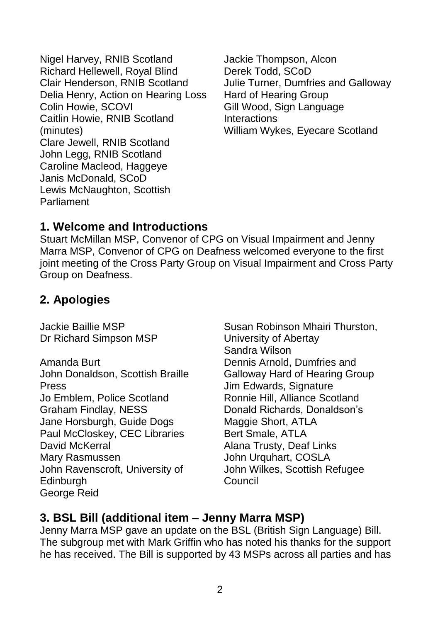Nigel Harvey, RNIB Scotland Richard Hellewell, Royal Blind Clair Henderson, RNIB Scotland Delia Henry, Action on Hearing Loss Colin Howie, SCOVI Caitlin Howie, RNIB Scotland (minutes) Clare Jewell, RNIB Scotland John Legg, RNIB Scotland Caroline Macleod, Haggeye Janis McDonald, SCoD Lewis McNaughton, Scottish Parliament

Jackie Thompson, Alcon Derek Todd, SCoD Julie Turner, Dumfries and Galloway Hard of Hearing Group Gill Wood, Sign Language **Interactions** William Wykes, Eyecare Scotland

## **1. Welcome and Introductions**

Stuart McMillan MSP, Convenor of CPG on Visual Impairment and Jenny Marra MSP, Convenor of CPG on Deafness welcomed everyone to the first joint meeting of the Cross Party Group on Visual Impairment and Cross Party Group on Deafness.

# **2. Apologies**

Jackie Baillie MSP Dr Richard Simpson MSP

Amanda Burt John Donaldson, Scottish Braille Press Jo Emblem, Police Scotland Graham Findlay, NESS Jane Horsburgh, Guide Dogs Paul McCloskey, CEC Libraries David McKerral Mary Rasmussen John Ravenscroft, University of **Edinburgh** George Reid

Susan Robinson Mhairi Thurston, University of Abertay Sandra Wilson Dennis Arnold, Dumfries and Galloway Hard of Hearing Group Jim Edwards, Signature Ronnie Hill, Alliance Scotland Donald Richards, Donaldson's Maggie Short, ATLA Bert Smale, ATLA Alana Trusty, Deaf Links John Urquhart, COSLA John Wilkes, Scottish Refugee Council

# **3. BSL Bill (additional item – Jenny Marra MSP)**

Jenny Marra MSP gave an update on the BSL (British Sign Language) Bill. The subgroup met with Mark Griffin who has noted his thanks for the support he has received. The Bill is supported by 43 MSPs across all parties and has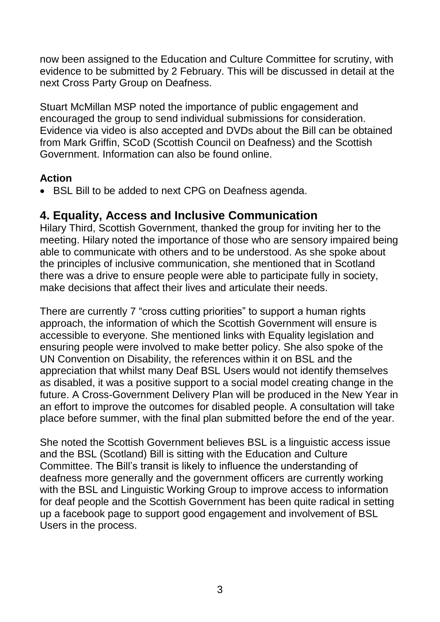now been assigned to the Education and Culture Committee for scrutiny, with evidence to be submitted by 2 February. This will be discussed in detail at the next Cross Party Group on Deafness.

Stuart McMillan MSP noted the importance of public engagement and encouraged the group to send individual submissions for consideration. Evidence via video is also accepted and DVDs about the Bill can be obtained from Mark Griffin, SCoD (Scottish Council on Deafness) and the Scottish Government. Information can also be found online.

#### **Action**

BSL Bill to be added to next CPG on Deafness agenda.

#### **4. Equality, Access and Inclusive Communication**

Hilary Third, Scottish Government, thanked the group for inviting her to the meeting. Hilary noted the importance of those who are sensory impaired being able to communicate with others and to be understood. As she spoke about the principles of inclusive communication, she mentioned that in Scotland there was a drive to ensure people were able to participate fully in society, make decisions that affect their lives and articulate their needs.

There are currently 7 "cross cutting priorities" to support a human rights approach, the information of which the Scottish Government will ensure is accessible to everyone. She mentioned links with Equality legislation and ensuring people were involved to make better policy. She also spoke of the UN Convention on Disability, the references within it on BSL and the appreciation that whilst many Deaf BSL Users would not identify themselves as disabled, it was a positive support to a social model creating change in the future. A Cross-Government Delivery Plan will be produced in the New Year in an effort to improve the outcomes for disabled people. A consultation will take place before summer, with the final plan submitted before the end of the year.

She noted the Scottish Government believes BSL is a linguistic access issue and the BSL (Scotland) Bill is sitting with the Education and Culture Committee. The Bill's transit is likely to influence the understanding of deafness more generally and the government officers are currently working with the BSL and Linguistic Working Group to improve access to information for deaf people and the Scottish Government has been quite radical in setting up a facebook page to support good engagement and involvement of BSL Users in the process.